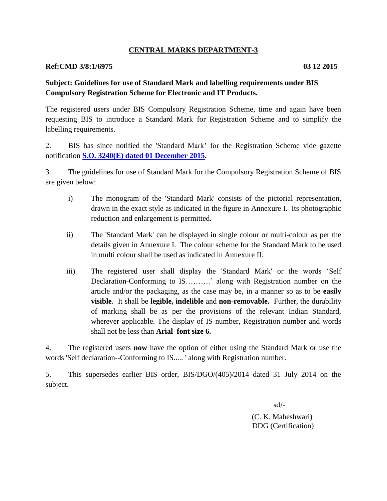### **CENTRAL MARKS DEPARTMENT-3**

#### **Ref:CMD 3/8:1/6975 03 12 2015**

### **Subject: Guidelines for use of Standard Mark and labelling requirements under BIS Compulsory Registration Scheme for Electronic and IT Products.**

The registered users under BIS Compulsory Registration Scheme, time and again have been requesting BIS to introduce a Standard Mark for Registration Scheme and to simplify the labelling requirements.

2. BIS has since notified the 'Standard Mark' for the Registration Scheme vide gazette notification **[S.O. 3240\(E\) dated 01 December 2015.](http://bis.org.in/cert/GN_CRS_04122015.pdf)**

3. The guidelines for use of Standard Mark for the Compulsory Registration Scheme of BIS are given below:

- i) The monogram of the 'Standard Mark' consists of the pictorial representation, drawn in the exact style as indicated in the figure in Annexure I. Its photographic reduction and enlargement is permitted.
- ii) The 'Standard Mark' can be displayed in single colour or multi-colour as per the details given in Annexure I. The colour scheme for the Standard Mark to be used in multi colour shall be used as indicated in Annexure II.
- iii) The registered user shall display the 'Standard Mark' or the words 'Self Declaration-Conforming to IS……….' along with Registration number on the article and/or the packaging, as the case may be, in a manner so as to be **easily visible**. It shall be **legible, indelible** and **non-removable.** Further, the durability of marking shall be as per the provisions of the relevant Indian Standard, wherever applicable. The display of IS number, Registration number and words shall not be less than **Arial font size 6.**

4. The registered users **now** have the option of either using the Standard Mark or use the words 'Self declaration--Conforming to IS..... ' along with Registration number.

5. This supersedes earlier BIS order, BIS/DGO/(405)/2014 dated 31 July 2014 on the subject.

sd/-

(C. K. Maheshwari) DDG (Certification)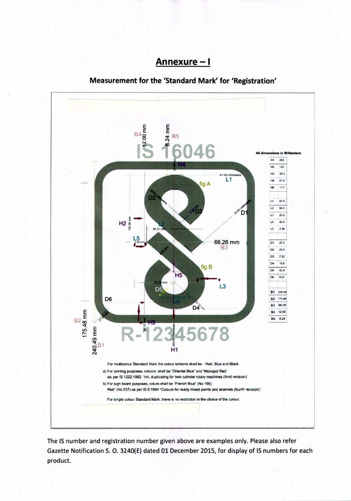## <u>Annexure - I</u>

### Measurement for the 'Standard Mark' for 'Registration'



The IS number and registration number given above are examples only. Please also refer Gazette Notification S. O. 3240(E) dated 01 December 2015, for display of IS numbers for each product.